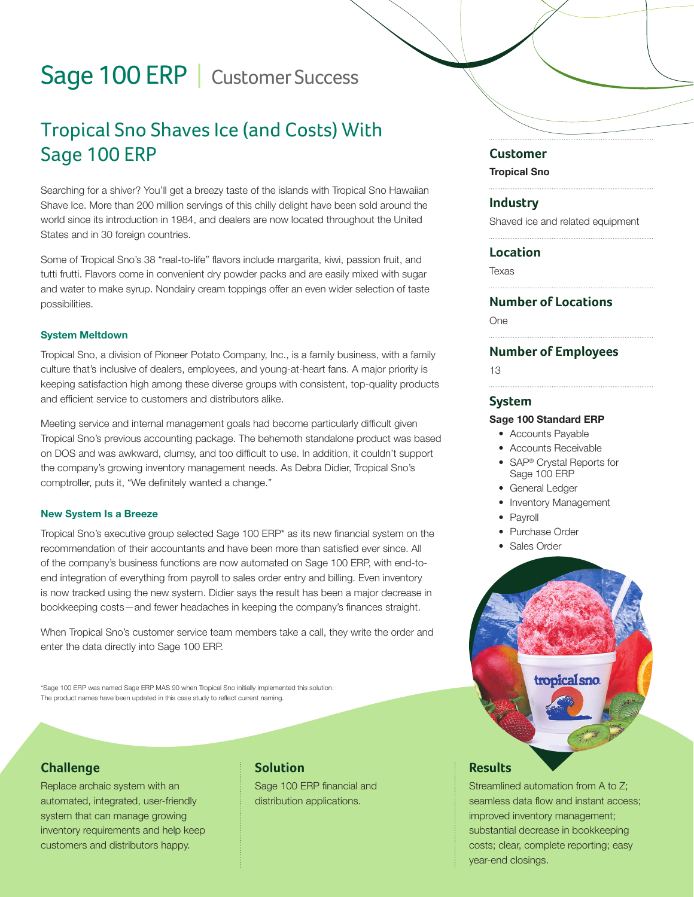# Sage 100 ERP | Customer Success

# Tropical Sno Shaves Ice (and Costs) With Sage 100 ERP

Searching for a shiver? You'll get a breezy taste of the islands with Tropical Sno Hawaiian Shave Ice. More than 200 million servings of this chilly delight have been sold around the world since its introduction in 1984, and dealers are now located throughout the United States and in 30 foreign countries.

Some of Tropical Sno's 38 "real-to-life" flavors include margarita, kiwi, passion fruit, and tutti frutti. Flavors come in convenient dry powder packs and are easily mixed with sugar and water to make syrup. Nondairy cream toppings offer an even wider selection of taste possibilities.

#### System Meltdown

Tropical Sno, a division of Pioneer Potato Company, Inc., is a family business, with a family culture that's inclusive of dealers, employees, and young-at-heart fans. A major priority is keeping satisfaction high among these diverse groups with consistent, top-quality products and efficient service to customers and distributors alike.

Meeting service and internal management goals had become particularly difficult given Tropical Sno's previous accounting package. The behemoth standalone product was based on DOS and was awkward, clumsy, and too difficult to use. In addition, it couldn't support the company's growing inventory management needs. As Debra Didier, Tropical Sno's comptroller, puts it, "We definitely wanted a change."

#### New System Is a Breeze

Tropical Sno's executive group selected Sage 100 ERP\* as its new financial system on the recommendation of their accountants and have been more than satisfied ever since. All of the company's business functions are now automated on Sage 100 ERP, with end-toend integration of everything from payroll to sales order entry and billing. Even inventory is now tracked using the new system. Didier says the result has been a major decrease in bookkeeping costs—and fewer headaches in keeping the company's finances straight.

When Tropical Sno's customer service team members take a call, they write the order and enter the data directly into Sage 100 ERP.

\*Sage 100 ERP was named Sage ERP MAS 90 when Tropical Sno initially implemented this solution. The product names have been updated in this case study to reflect current naming.

### **Challenge**

Replace archaic system with an automated, integrated, user-friendly system that can manage growing inventory requirements and help keep customers and distributors happy.

# **Solution**

Sage 100 ERP financial and distribution applications.

#### **Customer**

Tropical Sno

#### **Industry**

Shaved ice and related equipment

#### **Location**

Texas

## **Number of Locations**

One

#### **Number of Employees**

13

#### **System**

#### Sage 100 Standard ERP

- Accounts Payable
- Accounts Receivable
- SAP® Crystal Reports for Sage 100 ERP
- General Ledger
- Inventory Management
- **Payroll**
- Purchase Order
- Sales Order



## Streamlined automation from A to Z; seamless data flow and instant access; improved inventory management; substantial decrease in bookkeeping costs; clear, complete reporting; easy year-end closings.